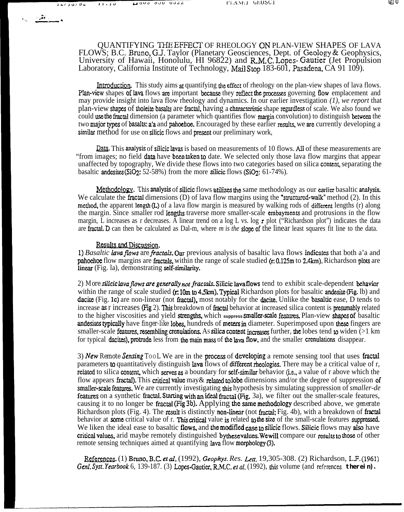$\mathbb{R}$  . The  $\mathbb{R}$ 

QUANTIFYING THE EFFECT OF RHEOLOGY ON PLAN-VIEW SHAPES OF LAVA FLOWS; B.C. Bruno, G.J. Taylor (Planetary Geosciences, Dept. of Geology & Geophysics, University of Hawaii, Honolulu, HI 96822) and R.M.C. Lopes-Gautier (Jet Propulsion Laboratory, California Institute of Technology, Mail Stop 183-601, Pasadena, CA 91 109).

**Introduction.** This study aims at quantifying the effect of rheology on the plan-view shapes of lava flows. Plan-view shapes of lava flows are important because they reflect the processes governing flow emplacement and may provide insight into lava flow rheology and dynamics. In our earlier investigation *(1), we report* that plan-view shapes of tholeite basalts are fractal, having a characteristic shape regardless of scale. We also found we could use the fractal dimension (a parameter which quantifies flow margin convolution) to distinguish between the two major types of basalts: a'a and pahoehoe. Encouraged by these earlier results, we are currently developing a similar method for use on silicic flows and present our preliminary work,

 $Q$ ata. This analysis of silicic lavas is based on measurements of 10 flows. All of these measurements are "from images; no field data have been taken to date. We selected only those lava flow margins that appear unaffected by topography, We divide these flows into two categories based on silica content, separating the basaltic andesites  $(SiO_2: 52-58%)$  from the more silicic flows  $(SiO_2: 61-74%)$ . **Qata.** This analysis of silicic lavas is based on measurements of 10 flows. All of these measurements are mages; no field data have been taken to date. We selected only those lava flow margins that appear cted by topograp

We calculate the fractal dimensions (D) of lava flow margins using the "structured-walk" method (2). In this method, the apparent length  $(L)$  of a lava flow margin is measured by walking rods of different lengths (r) along the margin. Since smaller rod Iengths traverse more smaller-scale embayrnents and protrusions in the flow margin, L increases as r decreases. A linear trend on a log L vs. log r plot ("Richardson plot") indicates the data are frztal. D can then be calculated as Dal-m, where *m is the dope* of the linear least squares fit line to the data.

## **Results and Discussion.**

1) *Basaltic lava flows are fractals.* Our previous analysis of basaltic lava flows indicates that both a'a and pahoehoe flow margins are fractals, within the range of scale studied  $(r, 0.125 \text{ m to } 2.4 \text{ km})$ . Richardson plots are linear (Fig. la), demonstrating self-similarity.

2) More silicic lava flows are generally not fractals. Silicic lava flows tend to exhibit scale-dependent behavior within the range of scale studied  $(r: 10m$  to 4.5km). Typical Richardson plots for basaltic andesite (Fig. 1b) and dacite (Fig. 1c) are non-linear (not fractal), most notably for the dacite. Unlike the basaltic ease, D tends to increase as r increases (Fig 2). This breakdown of fractal behavior at increased silica content is presumably related to the higher viscosities and yield strengths, which suppress smaller-scale features. Plan-view shapes of basaltic andesites typically have *finger-like* lobes, hundreds of meters in diameter. Superimposed upon these fingers are smaller-scale features, resembling creaulations. As silica content increases further, the lobes tend to widen  $(>1 \text{ km})$ for typical dacites), protrude less from the main mass of the lava flow, and the smaller crenulations disappear.

3) New Remote Sensing TooL We are in the process of developing a remote sensing tool that uses fractal parameters to quantitatively distinguish lava flows of different rheologies. There may be a critical value of r, related to silica content, which serves as a boundary for self-similar behavior (i.e., a value of r above which the flow appears fractal). This critical value may & related to lobe dimensions and/or the degree of suppression of smaller-scale features. We are currently investigating this hypothesis by simulating suppression of *smaller-de* stratures on a synthetic fractal. Starting with an ideal fractal (Fig. 3a), we filter out the smaller-scale features, causing it to no longer be fractal (Fig 3b). Applying the same methodology described above, we *generate* Richardson plots (Fig. 4). The result is distinctly non-linear (not fractal; Fig. 4b), with a breakdown of fractal behavior at some critical value of r. This critical value is related to the size of the small-scale features suppressed. We liken the ideal ease to basaltic flows, and the modified case to silicic flows. Silicic flows may also have critical values, arid maybe remotely distinguished by these values. We will compare our results to those of other remote sensing techniques aimed at quantifying lava flow morphology (3). exitical values, arid maybe remotely distinguished bythese values. We will compare our results to those of other<br>remote sensing techniques aimed at quantifying lava flow morphology (3).<br><u>Genl. Syst. Yearbook 6</u>, 139-187. (